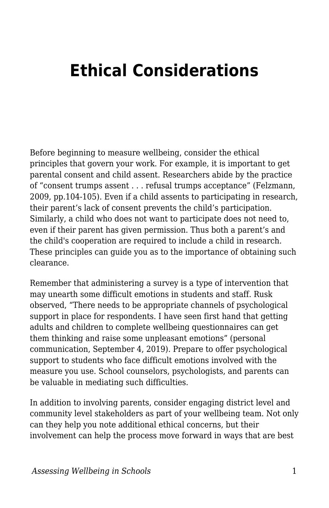## **Ethical Considerations**

Before beginning to measure wellbeing, consider the ethical principles that govern your work. For example, it is important to get parental consent and child assent. Researchers abide by the practice of "consent trumps assent . . . refusal trumps acceptance" (Felzmann, 2009, pp.104-105). Even if a child assents to participating in research, their parent's lack of consent prevents the child's participation. Similarly, a child who does not want to participate does not need to, even if their parent has given permission. Thus both a parent's and the child's cooperation are required to include a child in research. These principles can guide you as to the importance of obtaining such clearance.

Remember that administering a survey is a type of intervention that may unearth some difficult emotions in students and staff. Rusk observed, "There needs to be appropriate channels of psychological support in place for respondents. I have seen first hand that getting adults and children to complete wellbeing questionnaires can get them thinking and raise some unpleasant emotions" (personal communication, September 4, 2019). Prepare to offer psychological support to students who face difficult emotions involved with the measure you use. School counselors, psychologists, and parents can be valuable in mediating such difficulties.

In addition to involving parents, consider engaging district level and community level stakeholders as part of your wellbeing team. Not only can they help you note additional ethical concerns, but their involvement can help the process move forward in ways that are best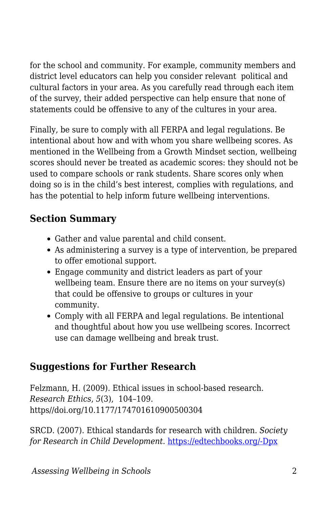for the school and community. For example, community members and district level educators can help you consider relevant political and cultural factors in your area. As you carefully read through each item of the survey, their added perspective can help ensure that none of statements could be offensive to any of the cultures in your area.

Finally, be sure to comply with all FERPA and legal regulations. Be intentional about how and with whom you share wellbeing scores. As mentioned in the Wellbeing from a Growth Mindset section, wellbeing scores should never be treated as academic scores: they should not be used to compare schools or rank students. Share scores only when doing so is in the child's best interest, complies with regulations, and has the potential to help inform future wellbeing interventions.

## **Section Summary**

- Gather and value parental and child consent.
- As administering a survey is a type of intervention, be prepared to offer emotional support.
- Engage community and district leaders as part of your wellbeing team. Ensure there are no items on your survey(s) that could be offensive to groups or cultures in your community.
- Comply with all FERPA and legal regulations. Be intentional and thoughtful about how you use wellbeing scores. Incorrect use can damage wellbeing and break trust.

## **Suggestions for Further Research**

Felzmann, H. (2009). Ethical issues in school-based research. *Research Ethics*, *5*(3), 104–109. https//doi.org/10.1177/174701610900500304

SRCD. (2007). Ethical standards for research with children. *Society for Research in Child Development.* [https://edtechbooks.org/-Dpx](https://www.srcd.org/about-us/ethical-standards-research-children)